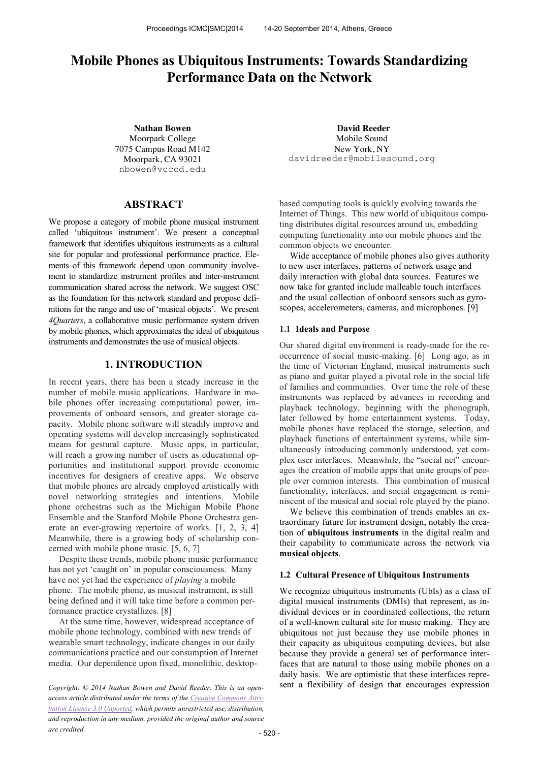# **Mobile Phones as Ubiquitous Instruments: Towards Standardizing Performance Data on the Network**

Moorpark College 7075 Campus Road M142 Moorpark, CA 93021 nbowen@vcccd.edu

# **ABSTRACT**

We propose a category of mobile phone musical instrument called 'ubiquitous instrument'. We present a conceptual framework that identifies ubiquitous instruments as a cultural site for popular and professional performance practice. Elements of this framework depend upon community involvement to standardize instrument profiles and inter-instrument communication shared across the network. We suggest OSC as the foundation for this network standard and propose definitions for the range and use of 'musical objects'. We present *4Quarters*, a collaborative music performance system driven by mobile phones, which approximates the ideal of ubiquitous instruments and demonstrates the use of musical objects.

# **1. INTRODUCTION**

In recent years, there has been a steady increase in the number of mobile music applications. Hardware in mobile phones offer increasing computational power, improvements of onboard sensors, and greater storage capacity. Mobile phone software will steadily improve and operating systems will develop increasingly sophisticated means for gestural capture. Music apps, in particular, will reach a growing number of users as educational opportunities and institutional support provide economic incentives for designers of creative apps. We observe that mobile phones are already employed artistically with novel networking strategies and intentions. Mobile phone orchestras such as the Michigan Mobile Phone Ensemble and the Stanford Mobile Phone Orchestra generate an ever-growing repertoire of works. [1, 2, 3, 4] Meanwhile, there is a growing body of scholarship concerned with mobile phone music. [5, 6, 7]

Despite these trends, mobile phone music performance has not yet 'caught on' in popular consciousness. Many have not yet had the experience of *playing* a mobile phone. The mobile phone, as musical instrument, is still being defined and it will take time before a common performance practice crystallizes. [8]

At the same time, however, widespread acceptance of mobile phone technology, combined with new trends of wearable smart technology, indicate changes in our daily communications practice and our consumption of Internet media. Our dependence upon fixed, monolithic, desktop-

*access article distributed under the terms of the Creative Commons Attribution License 3.0 Unported, which permits unrestricted use, distribution, and reproduction in any medium, provided the original author and source are credited.*

**Nathan Bowen David Reeder** Mobile Sound New York, NY davidreeder@mobilesound.org

> based computing tools is quickly evolving towards the Internet of Things. This new world of ubiquitous computing distributes digital resources around us, embedding computing functionality into our mobile phones and the common objects we encounter.

> Wide acceptance of mobile phones also gives authority to new user interfaces, patterns of network usage and daily interaction with global data sources. Features we now take for granted include malleable touch interfaces and the usual collection of onboard sensors such as gyroscopes, accelerometers, cameras, and microphones. [9]

#### **1.1 Ideals and Purpose**

Our shared digital environment is ready-made for the reoccurrence of social music-making. [6] Long ago, as in the time of Victorian England, musical instruments such as piano and guitar played a pivotal role in the social life of families and communities. Over time the role of these instruments was replaced by advances in recording and playback technology, beginning with the phonograph, later followed by home entertainment systems. Today, mobile phones have replaced the storage, selection, and playback functions of entertainment systems, while simultaneously introducing commonly understood, yet complex user interfaces. Meanwhile, the "social net" encourages the creation of mobile apps that unite groups of people over common interests. This combination of musical functionality, interfaces, and social engagement is reminiscent of the musical and social role played by the piano.

We believe this combination of trends enables an extraordinary future for instrument design, notably the creation of **ubiquitous instruments** in the digital realm and their capability to communicate across the network via **musical objects**.

#### **1.2 Cultural Presence of Ubiquitous Instruments**

We recognize ubiquitous instruments (UbIs) as a class of digital musical instruments (DMIs) that represent, as individual devices or in coordinated collections, the return of a well-known cultural site for music making. They are ubiquitous not just because they use mobile phones in their capacity as ubiquitous computing devices, but also because they provide a general set of performance interfaces that are natural to those using mobile phones on a daily basis. We are optimistic that these interfaces repre-*Copyright:* © 2014 Nathan Bowen and David Reeder. This is an open-<br>
sent a flexibility of design that encourages expression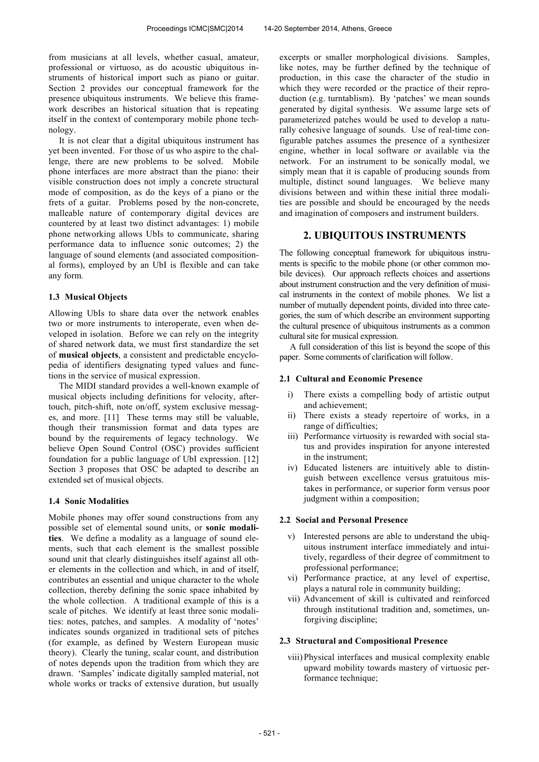from musicians at all levels, whether casual, amateur, professional or virtuoso, as do acoustic ubiquitous instruments of historical import such as piano or guitar. Section 2 provides our conceptual framework for the presence ubiquitous instruments. We believe this framework describes an historical situation that is repeating itself in the context of contemporary mobile phone technology.

It is not clear that a digital ubiquitous instrument has yet been invented. For those of us who aspire to the challenge, there are new problems to be solved. Mobile phone interfaces are more abstract than the piano: their visible construction does not imply a concrete structural mode of composition, as do the keys of a piano or the frets of a guitar. Problems posed by the non-concrete, malleable nature of contemporary digital devices are countered by at least two distinct advantages: 1) mobile phone networking allows UbIs to communicate, sharing performance data to influence sonic outcomes; 2) the language of sound elements (and associated compositional forms), employed by an UbI is flexible and can take any form*.*

#### **1.3 Musical Objects**

Allowing UbIs to share data over the network enables two or more instruments to interoperate, even when developed in isolation. Before we can rely on the integrity of shared network data, we must first standardize the set of **musical objects**, a consistent and predictable encyclopedia of identifiers designating typed values and functions in the service of musical expression.

The MIDI standard provides a well-known example of musical objects including definitions for velocity, aftertouch, pitch-shift, note on/off, system exclusive messages, and more. [11] These terms may still be valuable, though their transmission format and data types are bound by the requirements of legacy technology. We believe Open Sound Control (OSC) provides sufficient foundation for a public language of UbI expression. [12] Section 3 proposes that OSC be adapted to describe an extended set of musical objects.

#### **1.4 Sonic Modalities**

Mobile phones may offer sound constructions from any possible set of elemental sound units, or **sonic modalities**. We define a modality as a language of sound elements, such that each element is the smallest possible sound unit that clearly distinguishes itself against all other elements in the collection and which, in and of itself, contributes an essential and unique character to the whole collection, thereby defining the sonic space inhabited by the whole collection. A traditional example of this is a scale of pitches. We identify at least three sonic modalities: notes, patches, and samples. A modality of 'notes' indicates sounds organized in traditional sets of pitches (for example, as defined by Western European music theory). Clearly the tuning, scalar count, and distribution of notes depends upon the tradition from which they are drawn. 'Samples' indicate digitally sampled material, not whole works or tracks of extensive duration, but usually

excerpts or smaller morphological divisions. Samples, like notes, may be further defined by the technique of production, in this case the character of the studio in which they were recorded or the practice of their reproduction (e.g. turntablism). By 'patches' we mean sounds generated by digital synthesis. We assume large sets of parameterized patches would be used to develop a naturally cohesive language of sounds. Use of real-time configurable patches assumes the presence of a synthesizer engine, whether in local software or available via the network. For an instrument to be sonically modal, we simply mean that it is capable of producing sounds from multiple, distinct sound languages. We believe many divisions between and within these initial three modalities are possible and should be encouraged by the needs and imagination of composers and instrument builders.

# **2. UBIQUITOUS INSTRUMENTS**

The following conceptual framework for ubiquitous instruments is specific to the mobile phone (or other common mobile devices). Our approach reflects choices and assertions about instrument construction and the very definition of musical instruments in the context of mobile phones. We list a number of mutually dependent points, divided into three categories, the sum of which describe an environment supporting the cultural presence of ubiquitous instruments as a common cultural site for musical expression.

A full consideration of this list is beyond the scope of this paper. Some comments of clarification will follow.

## **2.1 Cultural and Economic Presence**

- i) There exists a compelling body of artistic output and achievement;
- ii) There exists a steady repertoire of works, in a range of difficulties;
- iii) Performance virtuosity is rewarded with social status and provides inspiration for anyone interested in the instrument;
- iv) Educated listeners are intuitively able to distinguish between excellence versus gratuitous mistakes in performance, or superior form versus poor judgment within a composition;

# **2.2 Social and Personal Presence**

- v) Interested persons are able to understand the ubiquitous instrument interface immediately and intuitively, regardless of their degree of commitment to professional performance;
- vi) Performance practice, at any level of expertise, plays a natural role in community building;
- vii) Advancement of skill is cultivated and reinforced through institutional tradition and, sometimes, unforgiving discipline;

### **2.3 Structural and Compositional Presence**

viii) Physical interfaces and musical complexity enable upward mobility towards mastery of virtuosic performance technique;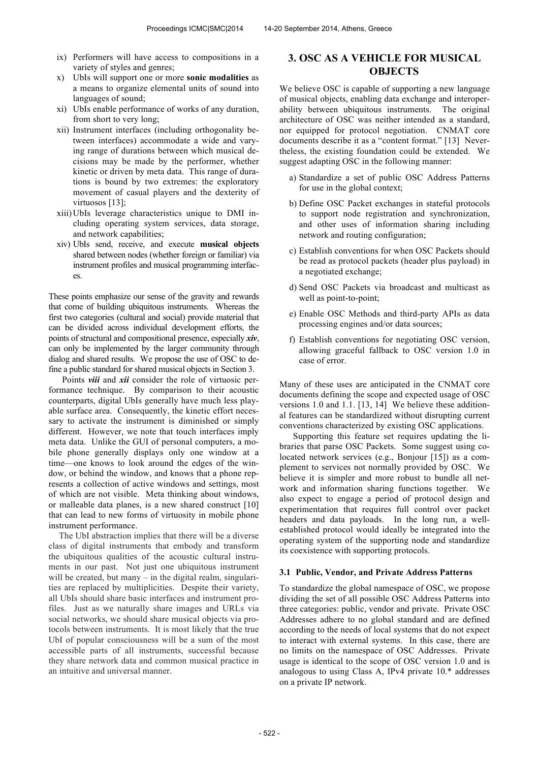- ix) Performers will have access to compositions in a variety of styles and genres;
- x) UbIs will support one or more **sonic modalities** as a means to organize elemental units of sound into languages of sound;
- xi) UbIs enable performance of works of any duration, from short to very long;
- xii) Instrument interfaces (including orthogonality between interfaces) accommodate a wide and varying range of durations between which musical decisions may be made by the performer, whether kinetic or driven by meta data. This range of durations is bound by two extremes: the exploratory movement of casual players and the dexterity of virtuosos [13];
- xiii)UbIs leverage characteristics unique to DMI including operating system services, data storage, and network capabilities;
- xiv) UbIs send, receive, and execute **musical objects**  shared between nodes (whether foreign or familiar) via instrument profiles and musical programming interfaces.

These points emphasize our sense of the gravity and rewards that come of building ubiquitous instruments. Whereas the first two categories (cultural and social) provide material that can be divided across individual development efforts, the points of structural and compositional presence, especially *xiv*, can only be implemented by the larger community through dialog and shared results. We propose the use of OSC to define a public standard for shared musical objects in Section 3.

 Points *viii* and *xii* consider the role of virtuosic performance technique. By comparison to their acoustic counterparts, digital UbIs generally have much less playable surface area. Consequently, the kinetic effort necessary to activate the instrument is diminished or simply different. However, we note that touch interfaces imply meta data. Unlike the GUI of personal computers, a mobile phone generally displays only one window at a time—one knows to look around the edges of the window, or behind the window, and knows that a phone represents a collection of active windows and settings, most of which are not visible. Meta thinking about windows, or malleable data planes, is a new shared construct [10] that can lead to new forms of virtuosity in mobile phone instrument performance.

The UbI abstraction implies that there will be a diverse class of digital instruments that embody and transform the ubiquitous qualities of the acoustic cultural instruments in our past. Not just one ubiquitous instrument will be created, but many – in the digital realm, singularities are replaced by multiplicities. Despite their variety, all UbIs should share basic interfaces and instrument profiles. Just as we naturally share images and URLs via social networks, we should share musical objects via protocols between instruments. It is most likely that the true UbI of popular consciousness will be a sum of the most accessible parts of all instruments, successful because they share network data and common musical practice in an intuitive and universal manner.

# **3. OSC AS A VEHICLE FOR MUSICAL OBJECTS**

We believe OSC is capable of supporting a new language of musical objects, enabling data exchange and interoperability between ubiquitous instruments. The original architecture of OSC was neither intended as a standard, nor equipped for protocol negotiation. CNMAT core documents describe it as a "content format." [13] Nevertheless, the existing foundation could be extended. We suggest adapting OSC in the following manner:

- a) Standardize a set of public OSC Address Patterns for use in the global context;
- b) Define OSC Packet exchanges in stateful protocols to support node registration and synchronization, and other uses of information sharing including network and routing configuration;
- c) Establish conventions for when OSC Packets should be read as protocol packets (header plus payload) in a negotiated exchange;
- d) Send OSC Packets via broadcast and multicast as well as point-to-point;
- e) Enable OSC Methods and third-party APIs as data processing engines and/or data sources;
- f) Establish conventions for negotiating OSC version, allowing graceful fallback to OSC version 1.0 in case of error.

Many of these uses are anticipated in the CNMAT core documents defining the scope and expected usage of OSC versions 1.0 and 1.1. [13, 14] We believe these additional features can be standardized without disrupting current conventions characterized by existing OSC applications.

 Supporting this feature set requires updating the libraries that parse OSC Packets. Some suggest using colocated network services (e.g., Bonjour [15]) as a complement to services not normally provided by OSC. We believe it is simpler and more robust to bundle all network and information sharing functions together. We also expect to engage a period of protocol design and experimentation that requires full control over packet headers and data payloads. In the long run, a wellestablished protocol would ideally be integrated into the operating system of the supporting node and standardize its coexistence with supporting protocols.

#### **3.1 Public, Vendor, and Private Address Patterns**

To standardize the global namespace of OSC, we propose dividing the set of all possible OSC Address Patterns into three categories: public, vendor and private. Private OSC Addresses adhere to no global standard and are defined according to the needs of local systems that do not expect to interact with external systems. In this case, there are no limits on the namespace of OSC Addresses. Private usage is identical to the scope of OSC version 1.0 and is analogous to using Class A, IPv4 private 10.\* addresses on a private IP network.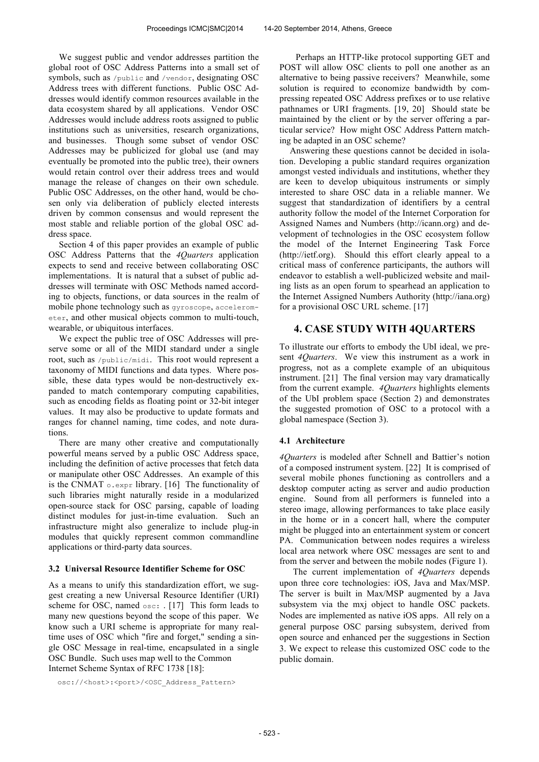We suggest public and vendor addresses partition the global root of OSC Address Patterns into a small set of symbols, such as /public and /vendor, designating OSC Address trees with different functions. Public OSC Addresses would identify common resources available in the data ecosystem shared by all applications. Vendor OSC Addresses would include address roots assigned to public institutions such as universities, research organizations, and businesses. Though some subset of vendor OSC Addresses may be publicized for global use (and may eventually be promoted into the public tree), their owners would retain control over their address trees and would manage the release of changes on their own schedule. Public OSC Addresses, on the other hand, would be chosen only via deliberation of publicly elected interests driven by common consensus and would represent the most stable and reliable portion of the global OSC address space.

Section 4 of this paper provides an example of public OSC Address Patterns that the *4Quarters* application expects to send and receive between collaborating OSC implementations. It is natural that a subset of public addresses will terminate with OSC Methods named according to objects, functions, or data sources in the realm of mobile phone technology such as gyroscope, accelerometer, and other musical objects common to multi-touch, wearable, or ubiquitous interfaces.

We expect the public tree of OSC Addresses will preserve some or all of the MIDI standard under a single root, such as /public/midi. This root would represent a taxonomy of MIDI functions and data types. Where possible, these data types would be non-destructively expanded to match contemporary computing capabilities, such as encoding fields as floating point or 32-bit integer values. It may also be productive to update formats and ranges for channel naming, time codes, and note durations.

There are many other creative and computationally powerful means served by a public OSC Address space, including the definition of active processes that fetch data or manipulate other OSC Addresses. An example of this is the CNMAT  $\circ$ . expr library. [16] The functionality of such libraries might naturally reside in a modularized open-source stack for OSC parsing, capable of loading distinct modules for just-in-time evaluation. Such an infrastructure might also generalize to include plug-in modules that quickly represent common commandline applications or third-party data sources.

#### **3.2 Universal Resource Identifier Scheme for OSC**

As a means to unify this standardization effort, we suggest creating a new Universal Resource Identifier (URI) scheme for OSC, named osc: . [17] This form leads to many new questions beyond the scope of this paper. We know such a URI scheme is appropriate for many realtime uses of OSC which "fire and forget," sending a single OSC Message in real-time, encapsulated in a single OSC Bundle. Such uses map well to the Common Internet Scheme Syntax of RFC 1738 [18]:

osc://<host>:<port>/<0SC\_Address\_Pattern>

Perhaps an HTTP-like protocol supporting GET and POST will allow OSC clients to poll one another as an alternative to being passive receivers? Meanwhile, some solution is required to economize bandwidth by compressing repeated OSC Address prefixes or to use relative pathnames or URI fragments. [19, 20] Should state be maintained by the client or by the server offering a particular service? How might OSC Address Pattern matching be adapted in an OSC scheme?

Answering these questions cannot be decided in isolation. Developing a public standard requires organization amongst vested individuals and institutions, whether they are keen to develop ubiquitous instruments or simply interested to share OSC data in a reliable manner. We suggest that standardization of identifiers by a central authority follow the model of the Internet Corporation for Assigned Names and Numbers (http://icann.org) and development of technologies in the OSC ecosystem follow the model of the Internet Engineering Task Force (http://ietf.org). Should this effort clearly appeal to a critical mass of conference participants, the authors will endeavor to establish a well-publicized website and mailing lists as an open forum to spearhead an application to the Internet Assigned Numbers Authority (http://iana.org) for a provisional OSC URL scheme. [17]

### **4. CASE STUDY WITH 4QUARTERS**

To illustrate our efforts to embody the UbI ideal, we present *4Quarters*. We view this instrument as a work in progress, not as a complete example of an ubiquitous instrument. [21] The final version may vary dramatically from the current example. *4Quarters* highlights elements of the UbI problem space (Section 2) and demonstrates the suggested promotion of OSC to a protocol with a global namespace (Section 3).

#### **4.1 Architecture**

*4Quarters* is modeled after Schnell and Battier's notion of a composed instrument system. [22] It is comprised of several mobile phones functioning as controllers and a desktop computer acting as server and audio production engine. Sound from all performers is funneled into a stereo image, allowing performances to take place easily in the home or in a concert hall, where the computer might be plugged into an entertainment system or concert PA. Communication between nodes requires a wireless local area network where OSC messages are sent to and from the server and between the mobile nodes (Figure 1).

 The current implementation of *4Quarters* depends upon three core technologies: iOS, Java and Max/MSP. The server is built in Max/MSP augmented by a Java subsystem via the mxj object to handle OSC packets. Nodes are implemented as native iOS apps. All rely on a general purpose OSC parsing subsystem, derived from open source and enhanced per the suggestions in Section 3. We expect to release this customized OSC code to the public domain.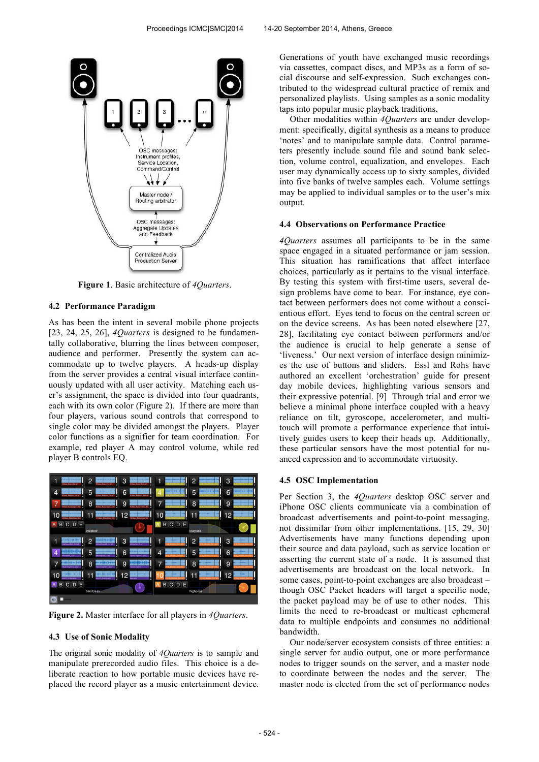

**Figure 1**. Basic architecture of *4Quarters*.

### **4.2 Performance Paradigm**

As has been the intent in several mobile phone projects [23, 24, 25, 26], *4Quarters* is designed to be fundamentally collaborative, blurring the lines between composer, audience and performer. Presently the system can accommodate up to twelve players. A heads-up display from the server provides a central visual interface continuously updated with all user activity. Matching each user's assignment, the space is divided into four quadrants, each with its own color (Figure 2). If there are more than four players, various sound controls that correspond to single color may be divided amongst the players. Player color functions as a signifier for team coordination. For example, red player A may control volume, while red player B controls EQ.



**Figure 2.** Master interface for all players in *4Quarters*.

#### **4.3 Use of Sonic Modality**

The original sonic modality of *4Quarters* is to sample and manipulate prerecorded audio files. This choice is a deliberate reaction to how portable music devices have replaced the record player as a music entertainment device. Generations of youth have exchanged music recordings via cassettes, compact discs, and MP3s as a form of social discourse and self-expression. Such exchanges contributed to the widespread cultural practice of remix and personalized playlists. Using samples as a sonic modality taps into popular music playback traditions.

Other modalities within *4Quarters* are under development: specifically, digital synthesis as a means to produce 'notes' and to manipulate sample data. Control parameters presently include sound file and sound bank selection, volume control, equalization, and envelopes. Each user may dynamically access up to sixty samples, divided into five banks of twelve samples each. Volume settings may be applied to individual samples or to the user's mix output.

#### **4.4 Observations on Performance Practice**

*4Quarters* assumes all participants to be in the same space engaged in a situated performance or jam session. This situation has ramifications that affect interface choices, particularly as it pertains to the visual interface. By testing this system with first-time users, several design problems have come to bear. For instance, eye contact between performers does not come without a conscientious effort. Eyes tend to focus on the central screen or on the device screens. As has been noted elsewhere [27, 28], facilitating eye contact between performers and/or the audience is crucial to help generate a sense of 'liveness.' Our next version of interface design minimizes the use of buttons and sliders. Essl and Rohs have authored an excellent 'orchestration' guide for present day mobile devices, highlighting various sensors and their expressive potential. [9] Through trial and error we believe a minimal phone interface coupled with a heavy reliance on tilt, gyroscope, accelerometer, and multitouch will promote a performance experience that intuitively guides users to keep their heads up. Additionally, these particular sensors have the most potential for nuanced expression and to accommodate virtuosity.

#### **4.5 OSC Implementation**

Per Section 3, the *4Quarters* desktop OSC server and iPhone OSC clients communicate via a combination of broadcast advertisements and point-to-point messaging, not dissimilar from other implementations. [15, 29, 30] Advertisements have many functions depending upon their source and data payload, such as service location or asserting the current state of a node. It is assumed that advertisements are broadcast on the local network. In some cases, point-to-point exchanges are also broadcast – though OSC Packet headers will target a specific node, the packet payload may be of use to other nodes. This limits the need to re-broadcast or multicast ephemeral data to multiple endpoints and consumes no additional bandwidth.

Our node/server ecosystem consists of three entities: a single server for audio output, one or more performance nodes to trigger sounds on the server, and a master node to coordinate between the nodes and the server. The master node is elected from the set of performance nodes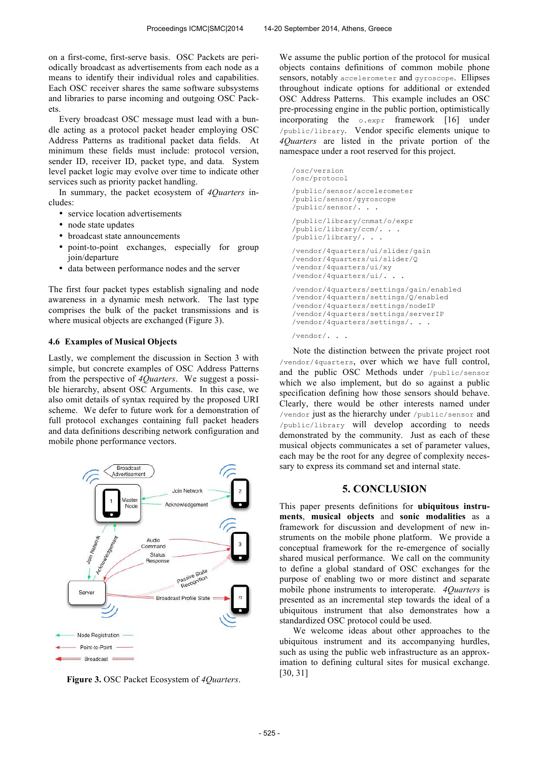on a first-come, first-serve basis. OSC Packets are periodically broadcast as advertisements from each node as a means to identify their individual roles and capabilities. Each OSC receiver shares the same software subsystems and libraries to parse incoming and outgoing OSC Packets.

Every broadcast OSC message must lead with a bundle acting as a protocol packet header employing OSC Address Patterns as traditional packet data fields. At minimum these fields must include: protocol version, sender ID, receiver ID, packet type, and data. System level packet logic may evolve over time to indicate other services such as priority packet handling.

In summary, the packet ecosystem of *4Quarters* includes:

- service location advertisements
- node state updates
- broadcast state announcements
- point-to-point exchanges, especially for group join/departure
- data between performance nodes and the server

The first four packet types establish signaling and node awareness in a dynamic mesh network. The last type comprises the bulk of the packet transmissions and is where musical objects are exchanged (Figure 3).

### **4.6 Examples of Musical Objects**

Lastly, we complement the discussion in Section 3 with simple, but concrete examples of OSC Address Patterns from the perspective of *4Quarters*. We suggest a possible hierarchy, absent OSC Arguments. In this case, we also omit details of syntax required by the proposed URI scheme. We defer to future work for a demonstration of full protocol exchanges containing full packet headers and data definitions describing network configuration and mobile phone performance vectors.



**Figure 3.** OSC Packet Ecosystem of *4Quarters*.

We assume the public portion of the protocol for musical objects contains definitions of common mobile phone sensors, notably accelerometer and gyroscope. Ellipses throughout indicate options for additional or extended OSC Address Patterns. This example includes an OSC pre-processing engine in the public portion, optimistically incorporating the o.expr framework [16] under /public/library. Vendor specific elements unique to *4Quarters* are listed in the private portion of the namespace under a root reserved for this project.

```
/osc/version
/osc/protocol
/public/sensor/accelerometer
/public/sensor/gyroscope
/public/sensor/. . .
/public/library/cnmat/o/expr
/public/library/ccm/. . .
/public/library/. . .
/vendor/4quarters/ui/slider/gain
/vendor/4quarters/ui/slider/Q
/vendor/4quarters/ui/xy
/vendor/4quarters/ui/. . .
/vendor/4quarters/settings/gain/enabled
/vendor/4quarters/settings/Q/enabled
/vendor/4quarters/settings/nodeIP
/vendor/4quarters/settings/serverIP
/vendor/4quarters/settings/. . .
/vendor/. . .
```
 Note the distinction between the private project root /vendor/4quarters, over which we have full control, and the public OSC Methods under /public/sensor which we also implement, but do so against a public specification defining how those sensors should behave. Clearly, there would be other interests named under /vendor just as the hierarchy under /public/sensor and /public/library will develop according to needs demonstrated by the community. Just as each of these musical objects communicates a set of parameter values, each may be the root for any degree of complexity necessary to express its command set and internal state.

## **5. CONCLUSION**

This paper presents definitions for **ubiquitous instruments**, **musical objects** and **sonic modalities** as a framework for discussion and development of new instruments on the mobile phone platform. We provide a conceptual framework for the re-emergence of socially shared musical performance. We call on the community to define a global standard of OSC exchanges for the purpose of enabling two or more distinct and separate mobile phone instruments to interoperate. *4Quarters* is presented as an incremental step towards the ideal of a ubiquitous instrument that also demonstrates how a standardized OSC protocol could be used.

 We welcome ideas about other approaches to the ubiquitous instrument and its accompanying hurdles, such as using the public web infrastructure as an approximation to defining cultural sites for musical exchange. [30, 31]